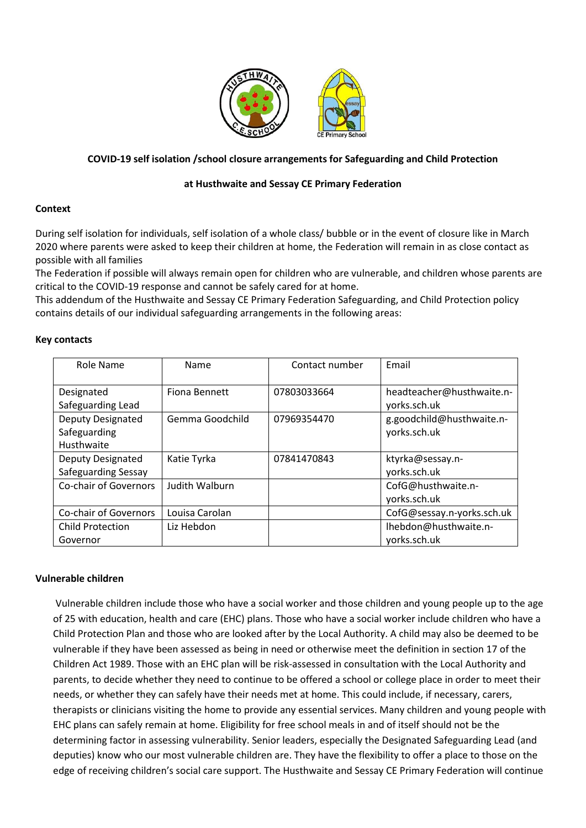

# **COVID-19 self isolation /school closure arrangements for Safeguarding and Child Protection**

## **at Husthwaite and Sessay CE Primary Federation**

## **Context**

During self isolation for individuals, self isolation of a whole class/ bubble or in the event of closure like in March 2020 where parents were asked to keep their children at home, the Federation will remain in as close contact as possible with all families

The Federation if possible will always remain open for children who are vulnerable, and children whose parents are critical to the COVID-19 response and cannot be safely cared for at home.

This addendum of the Husthwaite and Sessay CE Primary Federation Safeguarding, and Child Protection policy contains details of our individual safeguarding arrangements in the following areas:

## **Key contacts**

| Role Name                                              | Name                  | Contact number | Email                                     |
|--------------------------------------------------------|-----------------------|----------------|-------------------------------------------|
| Designated<br>Safeguarding Lead                        | Fiona Bennett         | 07803033664    | headteacher@husthwaite.n-<br>yorks.sch.uk |
| <b>Deputy Designated</b><br>Safeguarding<br>Husthwaite | Gemma Goodchild       | 07969354470    | g.goodchild@husthwaite.n-<br>yorks.sch.uk |
| Deputy Designated<br>Safeguarding Sessay               | Katie Tyrka           | 07841470843    | ktyrka@sessay.n-<br>yorks.sch.uk          |
| <b>Co-chair of Governors</b>                           | <b>Judith Walburn</b> |                | CofG@husthwaite.n-<br>yorks.sch.uk        |
| Co-chair of Governors                                  | Louisa Carolan        |                | CofG@sessay.n-yorks.sch.uk                |
| <b>Child Protection</b><br>Governor                    | Liz Hebdon            |                | Ihebdon@husthwaite.n-<br>yorks.sch.uk     |

#### **Vulnerable children**

Vulnerable children include those who have a social worker and those children and young people up to the age of 25 with education, health and care (EHC) plans. Those who have a social worker include children who have a Child Protection Plan and those who are looked after by the Local Authority. A child may also be deemed to be vulnerable if they have been assessed as being in need or otherwise meet the definition in section 17 of the Children Act 1989. Those with an EHC plan will be risk-assessed in consultation with the Local Authority and parents, to decide whether they need to continue to be offered a school or college place in order to meet their needs, or whether they can safely have their needs met at home. This could include, if necessary, carers, therapists or clinicians visiting the home to provide any essential services. Many children and young people with EHC plans can safely remain at home. Eligibility for free school meals in and of itself should not be the determining factor in assessing vulnerability. Senior leaders, especially the Designated Safeguarding Lead (and deputies) know who our most vulnerable children are. They have the flexibility to offer a place to those on the edge of receiving children's social care support. The Husthwaite and Sessay CE Primary Federation will continue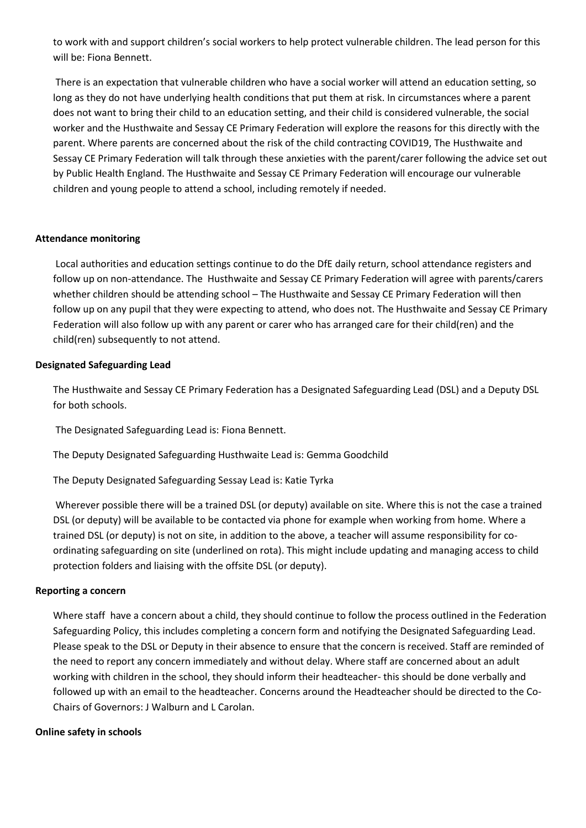to work with and support children's social workers to help protect vulnerable children. The lead person for this will be: Fiona Bennett.

There is an expectation that vulnerable children who have a social worker will attend an education setting, so long as they do not have underlying health conditions that put them at risk. In circumstances where a parent does not want to bring their child to an education setting, and their child is considered vulnerable, the social worker and the Husthwaite and Sessay CE Primary Federation will explore the reasons for this directly with the parent. Where parents are concerned about the risk of the child contracting COVID19, The Husthwaite and Sessay CE Primary Federation will talk through these anxieties with the parent/carer following the advice set out by Public Health England. The Husthwaite and Sessay CE Primary Federation will encourage our vulnerable children and young people to attend a school, including remotely if needed.

## **Attendance monitoring**

Local authorities and education settings continue to do the DfE daily return, school attendance registers and follow up on non-attendance. The Husthwaite and Sessay CE Primary Federation will agree with parents/carers whether children should be attending school – The Husthwaite and Sessay CE Primary Federation will then follow up on any pupil that they were expecting to attend, who does not. The Husthwaite and Sessay CE Primary Federation will also follow up with any parent or carer who has arranged care for their child(ren) and the child(ren) subsequently to not attend.

## **Designated Safeguarding Lead**

The Husthwaite and Sessay CE Primary Federation has a Designated Safeguarding Lead (DSL) and a Deputy DSL for both schools.

The Designated Safeguarding Lead is: Fiona Bennett.

The Deputy Designated Safeguarding Husthwaite Lead is: Gemma Goodchild

The Deputy Designated Safeguarding Sessay Lead is: Katie Tyrka

Wherever possible there will be a trained DSL (or deputy) available on site. Where this is not the case a trained DSL (or deputy) will be available to be contacted via phone for example when working from home. Where a trained DSL (or deputy) is not on site, in addition to the above, a teacher will assume responsibility for coordinating safeguarding on site (underlined on rota). This might include updating and managing access to child protection folders and liaising with the offsite DSL (or deputy).

#### **Reporting a concern**

Where staff have a concern about a child, they should continue to follow the process outlined in the Federation Safeguarding Policy, this includes completing a concern form and notifying the Designated Safeguarding Lead. Please speak to the DSL or Deputy in their absence to ensure that the concern is received. Staff are reminded of the need to report any concern immediately and without delay. Where staff are concerned about an adult working with children in the school, they should inform their headteacher- this should be done verbally and followed up with an email to the headteacher. Concerns around the Headteacher should be directed to the Co-Chairs of Governors: J Walburn and L Carolan.

## **Online safety in schools**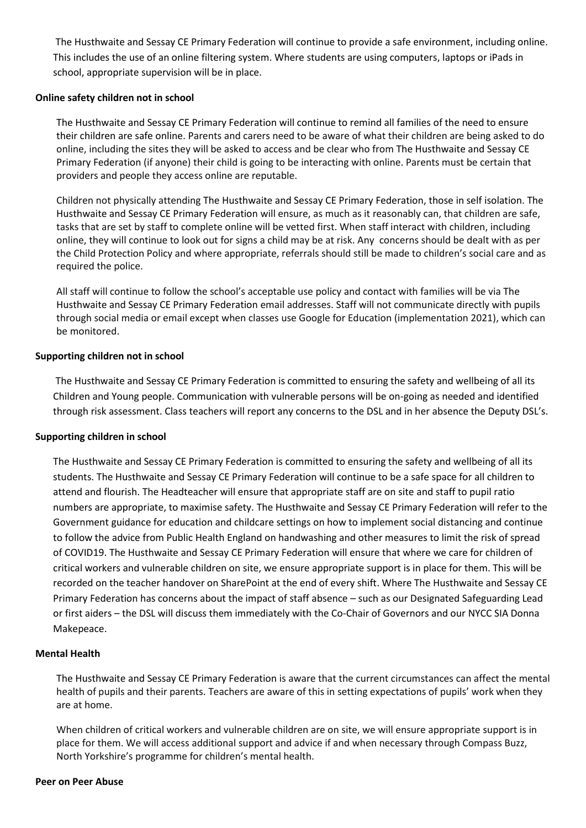The Husthwaite and Sessay CE Primary Federation will continue to provide a safe environment, including online. This includes the use of an online filtering system. Where students are using computers, laptops or iPads in school, appropriate supervision will be in place.

### **Online safety children not in school**

The Husthwaite and Sessay CE Primary Federation will continue to remind all families of the need to ensure their children are safe online. Parents and carers need to be aware of what their children are being asked to do online, including the sites they will be asked to access and be clear who from The Husthwaite and Sessay CE Primary Federation (if anyone) their child is going to be interacting with online. Parents must be certain that providers and people they access online are reputable.

Children not physically attending The Husthwaite and Sessay CE Primary Federation, those in self isolation. The Husthwaite and Sessay CE Primary Federation will ensure, as much as it reasonably can, that children are safe, tasks that are set by staff to complete online will be vetted first. When staff interact with children, including online, they will continue to look out for signs a child may be at risk. Any concerns should be dealt with as per the Child Protection Policy and where appropriate, referrals should still be made to children's social care and as required the police.

All staff will continue to follow the school's acceptable use policy and contact with families will be via The Husthwaite and Sessay CE Primary Federation email addresses. Staff will not communicate directly with pupils through social media or email except when classes use Google for Education (implementation 2021), which can be monitored.

## **Supporting children not in school**

The Husthwaite and Sessay CE Primary Federation is committed to ensuring the safety and wellbeing of all its Children and Young people. Communication with vulnerable persons will be on-going as needed and identified through risk assessment. Class teachers will report any concerns to the DSL and in her absence the Deputy DSL's.

#### **Supporting children in school**

The Husthwaite and Sessay CE Primary Federation is committed to ensuring the safety and wellbeing of all its students. The Husthwaite and Sessay CE Primary Federation will continue to be a safe space for all children to attend and flourish. The Headteacher will ensure that appropriate staff are on site and staff to pupil ratio numbers are appropriate, to maximise safety. The Husthwaite and Sessay CE Primary Federation will refer to the Government guidance for education and childcare settings on how to implement social distancing and continue to follow the advice from Public Health England on handwashing and other measures to limit the risk of spread of COVID19. The Husthwaite and Sessay CE Primary Federation will ensure that where we care for children of critical workers and vulnerable children on site, we ensure appropriate support is in place for them. This will be recorded on the teacher handover on SharePoint at the end of every shift. Where The Husthwaite and Sessay CE Primary Federation has concerns about the impact of staff absence – such as our Designated Safeguarding Lead or first aiders – the DSL will discuss them immediately with the Co-Chair of Governors and our NYCC SIA Donna Makepeace.

#### **Mental Health**

The Husthwaite and Sessay CE Primary Federation is aware that the current circumstances can affect the mental health of pupils and their parents. Teachers are aware of this in setting expectations of pupils' work when they are at home.

When children of critical workers and vulnerable children are on site, we will ensure appropriate support is in place for them. We will access additional support and advice if and when necessary through Compass Buzz, North Yorkshire's programme for children's mental health.